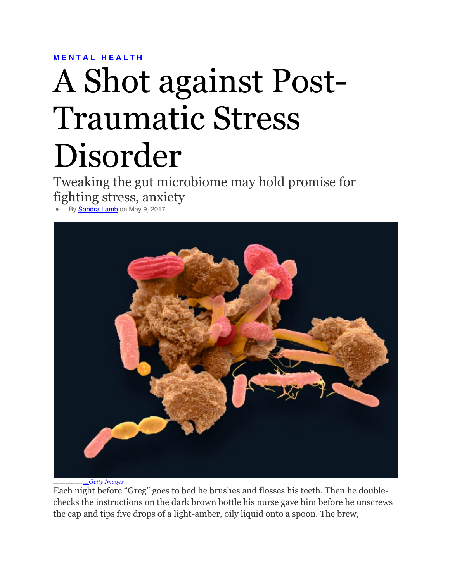**MENTAL HEALTH**

## A Shot against Post-Traumatic Stress Disorder

Tweaking the gut microbiome may hold promise for fighting stress, anxiety

By **Sandra Lamb** on May 9, 2017



Scanning electron micrograph (SEM) of various bacteria found in a sample of human feces. Credit: Steve Gschmeissner*Getty Images*

Each night before "Greg" goes to bed he brushes and flosses his teeth. Then he doublechecks the instructions on the dark brown bottle his nurse gave him before he unscrews the cap and tips five drops of a light-amber, oily liquid onto a spoon. The brew,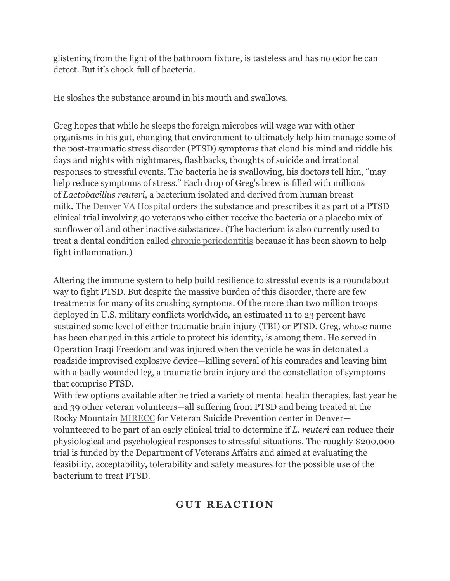glistening from the light of the bathroom fixture, is tasteless and has no odor he can detect. But it's chock-full of bacteria.

He sloshes the substance around in his mouth and swallows.

Greg hopes that while he sleeps the foreign microbes will wage war with other organisms in his gut, changing that environment to ultimately help him manage some of the post-traumatic stress disorder (PTSD) symptoms that cloud his mind and riddle his days and nights with nightmares, flashbacks, thoughts of suicide and irrational responses to stressful events. The bacteria he is swallowing, his doctors tell him, "may help reduce symptoms of stress." Each drop of Greg's brew is filled with millions of *Lactobacillus reuteri*, a bacterium isolated and derived from human breast milk**.** The Denver VA Hospital orders the substance and prescribes it as part of a PTSD clinical trial involving 40 veterans who either receive the bacteria or a placebo mix of sunflower oil and other inactive substances. (The bacterium is also currently used to treat a dental condition called chronic periodontitis because it has been shown to help fight inflammation.)

Altering the immune system to help build resilience to stressful events is a roundabout way to fight PTSD. But despite the massive burden of this disorder, there are few treatments for many of its crushing symptoms. Of the more than two million troops deployed in U.S. military conflicts worldwide, an estimated 11 to 23 percent have sustained some level of either traumatic brain injury (TBI) or PTSD. Greg, whose name has been changed in this article to protect his identity, is among them. He served in Operation Iraqi Freedom and was injured when the vehicle he was in detonated a roadside improvised explosive device—killing several of his comrades and leaving him with a badly wounded leg, a traumatic brain injury and the constellation of symptoms that comprise PTSD.

With few options available after he tried a variety of mental health therapies, last year he and 39 other veteran volunteers—all suffering from PTSD and being treated at the Rocky Mountain MIRECC for Veteran Suicide Prevention center in Denver volunteered to be part of an early clinical trial to determine if *L. reuteri* can reduce their physiological and psychological responses to stressful situations. The roughly \$200,000 trial is funded by the Department of Veterans Affairs and aimed at evaluating the feasibility, acceptability, tolerability and safety measures for the possible use of the bacterium to treat PTSD.

## **GUT REACTION**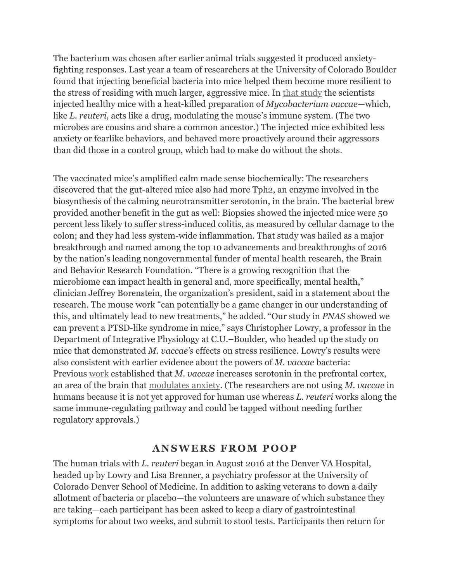The bacterium was chosen after earlier animal trials suggested it produced anxietyfighting responses. Last year a team of researchers at the University of Colorado Boulder found that injecting beneficial bacteria into mice helped them become more resilient to the stress of residing with much larger, aggressive mice. In that study the scientists injected healthy mice with a heat-killed preparation of *Mycobacterium vaccae*—which, like *L. reuteri*, acts like a drug, modulating the mouse's immune system. (The two microbes are cousins and share a common ancestor.) The injected mice exhibited less anxiety or fearlike behaviors, and behaved more proactively around their aggressors than did those in a control group, which had to make do without the shots.

The vaccinated mice's amplified calm made sense biochemically: The researchers discovered that the gut-altered mice also had more Tph2, an enzyme involved in the biosynthesis of the calming neurotransmitter serotonin, in the brain. The bacterial brew provided another benefit in the gut as well: Biopsies showed the injected mice were 50 percent less likely to suffer stress-induced colitis, as measured by cellular damage to the colon; and they had less system-wide inflammation. That study was hailed as a major breakthrough and named among the top 10 advancements and breakthroughs of 2016 by the nation's leading nongovernmental funder of mental health research, the Brain and Behavior Research Foundation. "There is a growing recognition that the microbiome can impact health in general and, more specifically, mental health," clinician Jeffrey Borenstein, the organization's president, said in a statement about the research. The mouse work "can potentially be a game changer in our understanding of this, and ultimately lead to new treatments," he added. "Our study in *PNAS* showed we can prevent a PTSD-like syndrome in mice," says Christopher Lowry, a professor in the Department of Integrative Physiology at C.U.–Boulder, who headed up the study on mice that demonstrated *M. vaccae's* effects on stress resilience. Lowry's results were also consistent with earlier evidence about the powers of *M. vaccae* bacteria: Previous work established that *M. vaccae* increases serotonin in the prefrontal cortex, an area of the brain that modulates anxiety. (The researchers are not using *M. vaccae* in humans because it is not yet approved for human use whereas *L. reuteri* works along the same immune-regulating pathway and could be tapped without needing further regulatory approvals.)

## **ANSWERS FROM POOP**

The human trials with *L. reuteri* began in August 2016 at the Denver VA Hospital, headed up by Lowry and Lisa Brenner, a psychiatry professor at the University of Colorado Denver School of Medicine. In addition to asking veterans to down a daily allotment of bacteria or placebo—the volunteers are unaware of which substance they are taking—each participant has been asked to keep a diary of gastrointestinal symptoms for about two weeks, and submit to stool tests. Participants then return for